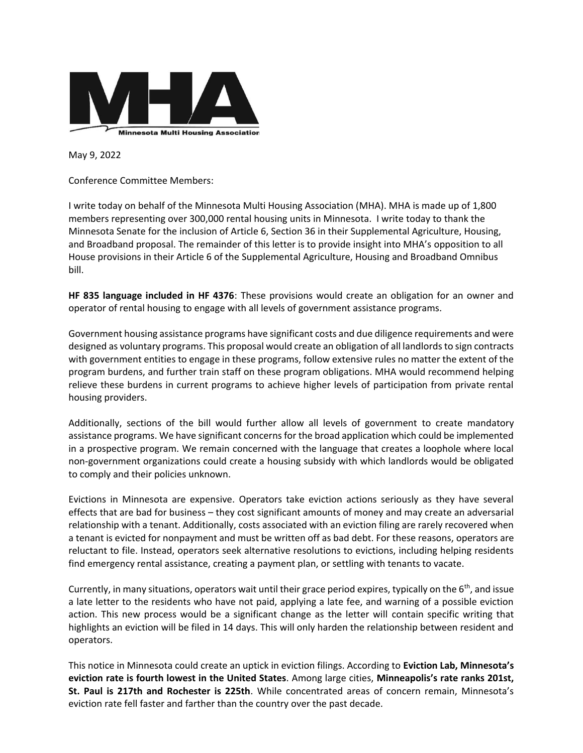

May 9, 2022

Conference Committee Members:

I write today on behalf of the Minnesota Multi Housing Association (MHA). MHA is made up of 1,800 members representing over 300,000 rental housing units in Minnesota. I write today to thank the Minnesota Senate for the inclusion of Article 6, Section 36 in their Supplemental Agriculture, Housing, and Broadband proposal. The remainder of this letter is to provide insight into MHA's opposition to all House provisions in their Article 6 of the Supplemental Agriculture, Housing and Broadband Omnibus bill.

**HF 835 language included in HF 4376**: These provisions would create an obligation for an owner and operator of rental housing to engage with all levels of government assistance programs.

Government housing assistance programs have significant costs and due diligence requirements and were designed as voluntary programs. This proposal would create an obligation of all landlords to sign contracts with government entities to engage in these programs, follow extensive rules no matter the extent of the program burdens, and further train staff on these program obligations. MHA would recommend helping relieve these burdens in current programs to achieve higher levels of participation from private rental housing providers.

Additionally, sections of the bill would further allow all levels of government to create mandatory assistance programs. We have significant concerns for the broad application which could be implemented in a prospective program. We remain concerned with the language that creates a loophole where local non-government organizations could create a housing subsidy with which landlords would be obligated to comply and their policies unknown.

Evictions in Minnesota are expensive. Operators take eviction actions seriously as they have several effects that are bad for business – they cost significant amounts of money and may create an adversarial relationship with a tenant. Additionally, costs associated with an eviction filing are rarely recovered when a tenant is evicted for nonpayment and must be written off as bad debt. For these reasons, operators are reluctant to file. Instead, operators seek alternative resolutions to evictions, including helping residents find emergency rental assistance, creating a payment plan, or settling with tenants to vacate.

Currently, in many situations, operators wait until their grace period expires, typically on the  $6<sup>th</sup>$ , and issue a late letter to the residents who have not paid, applying a late fee, and warning of a possible eviction action. This new process would be a significant change as the letter will contain specific writing that highlights an eviction will be filed in 14 days. This will only harden the relationship between resident and operators.

This notice in Minnesota could create an uptick in eviction filings. According to **Eviction Lab, Minnesota's eviction rate is fourth lowest in the United States**. Among large cities, **Minneapolis's rate ranks 201st, St. Paul is 217th and Rochester is 225th**. While concentrated areas of concern remain, Minnesota's eviction rate fell faster and farther than the country over the past decade.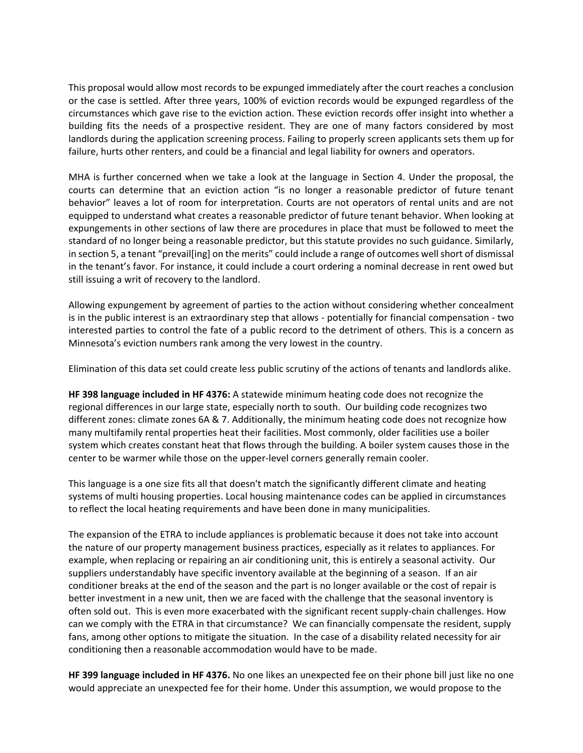This proposal would allow most records to be expunged immediately after the court reaches a conclusion or the case is settled. After three years, 100% of eviction records would be expunged regardless of the circumstances which gave rise to the eviction action. These eviction records offer insight into whether a building fits the needs of a prospective resident. They are one of many factors considered by most landlords during the application screening process. Failing to properly screen applicants sets them up for failure, hurts other renters, and could be a financial and legal liability for owners and operators.

MHA is further concerned when we take a look at the language in Section 4. Under the proposal, the courts can determine that an eviction action "is no longer a reasonable predictor of future tenant behavior" leaves a lot of room for interpretation. Courts are not operators of rental units and are not equipped to understand what creates a reasonable predictor of future tenant behavior. When looking at expungements in other sections of law there are procedures in place that must be followed to meet the standard of no longer being a reasonable predictor, but this statute provides no such guidance. Similarly, in section 5, a tenant "prevail[ing] on the merits" could include a range of outcomes well short of dismissal in the tenant's favor. For instance, it could include a court ordering a nominal decrease in rent owed but still issuing a writ of recovery to the landlord.

Allowing expungement by agreement of parties to the action without considering whether concealment is in the public interest is an extraordinary step that allows - potentially for financial compensation - two interested parties to control the fate of a public record to the detriment of others. This is a concern as Minnesota's eviction numbers rank among the very lowest in the country.

Elimination of this data set could create less public scrutiny of the actions of tenants and landlords alike.

**HF 398 language included in HF 4376:** A statewide minimum heating code does not recognize the regional differences in our large state, especially north to south. Our building code recognizes two different zones: climate zones 6A & 7. Additionally, the minimum heating code does not recognize how many multifamily rental properties heat their facilities. Most commonly, older facilities use a boiler system which creates constant heat that flows through the building. A boiler system causes those in the center to be warmer while those on the upper-level corners generally remain cooler.

This language is a one size fits all that doesn't match the significantly different climate and heating systems of multi housing properties. Local housing maintenance codes can be applied in circumstances to reflect the local heating requirements and have been done in many municipalities.

The expansion of the ETRA to include appliances is problematic because it does not take into account the nature of our property management business practices, especially as it relates to appliances. For example, when replacing or repairing an air conditioning unit, this is entirely a seasonal activity. Our suppliers understandably have specific inventory available at the beginning of a season. If an air conditioner breaks at the end of the season and the part is no longer available or the cost of repair is better investment in a new unit, then we are faced with the challenge that the seasonal inventory is often sold out. This is even more exacerbated with the significant recent supply-chain challenges. How can we comply with the ETRA in that circumstance? We can financially compensate the resident, supply fans, among other options to mitigate the situation. In the case of a disability related necessity for air conditioning then a reasonable accommodation would have to be made.

**HF 399 language included in HF 4376.** No one likes an unexpected fee on their phone bill just like no one would appreciate an unexpected fee for their home. Under this assumption, we would propose to the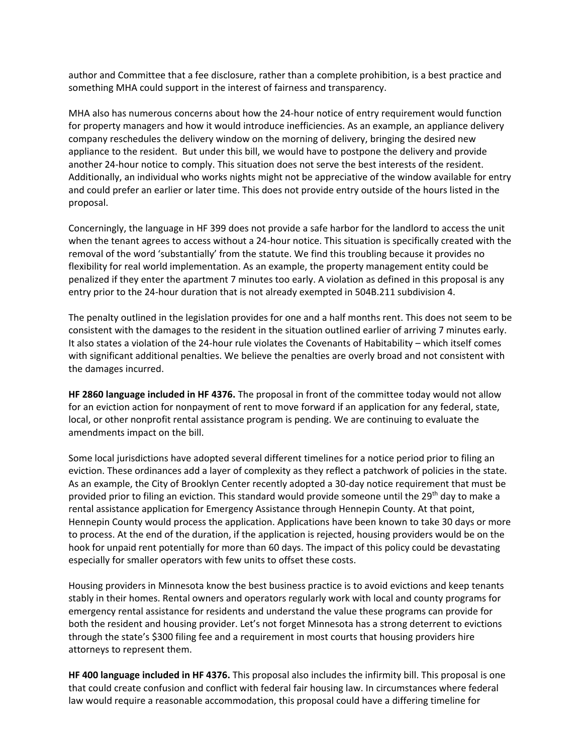author and Committee that a fee disclosure, rather than a complete prohibition, is a best practice and something MHA could support in the interest of fairness and transparency.

MHA also has numerous concerns about how the 24-hour notice of entry requirement would function for property managers and how it would introduce inefficiencies. As an example, an appliance delivery company reschedules the delivery window on the morning of delivery, bringing the desired new appliance to the resident. But under this bill, we would have to postpone the delivery and provide another 24-hour notice to comply. This situation does not serve the best interests of the resident. Additionally, an individual who works nights might not be appreciative of the window available for entry and could prefer an earlier or later time. This does not provide entry outside of the hours listed in the proposal.

Concerningly, the language in HF 399 does not provide a safe harbor for the landlord to access the unit when the tenant agrees to access without a 24-hour notice. This situation is specifically created with the removal of the word 'substantially' from the statute. We find this troubling because it provides no flexibility for real world implementation. As an example, the property management entity could be penalized if they enter the apartment 7 minutes too early. A violation as defined in this proposal is any entry prior to the 24-hour duration that is not already exempted in 504B.211 subdivision 4.

The penalty outlined in the legislation provides for one and a half months rent. This does not seem to be consistent with the damages to the resident in the situation outlined earlier of arriving 7 minutes early. It also states a violation of the 24-hour rule violates the Covenants of Habitability – which itself comes with significant additional penalties. We believe the penalties are overly broad and not consistent with the damages incurred.

**HF 2860 language included in HF 4376.** The proposal in front of the committee today would not allow for an eviction action for nonpayment of rent to move forward if an application for any federal, state, local, or other nonprofit rental assistance program is pending. We are continuing to evaluate the amendments impact on the bill.

Some local jurisdictions have adopted several different timelines for a notice period prior to filing an eviction. These ordinances add a layer of complexity as they reflect a patchwork of policies in the state. As an example, the City of Brooklyn Center recently adopted a 30-day notice requirement that must be provided prior to filing an eviction. This standard would provide someone until the 29<sup>th</sup> day to make a rental assistance application for Emergency Assistance through Hennepin County. At that point, Hennepin County would process the application. Applications have been known to take 30 days or more to process. At the end of the duration, if the application is rejected, housing providers would be on the hook for unpaid rent potentially for more than 60 days. The impact of this policy could be devastating especially for smaller operators with few units to offset these costs.

Housing providers in Minnesota know the best business practice is to avoid evictions and keep tenants stably in their homes. Rental owners and operators regularly work with local and county programs for emergency rental assistance for residents and understand the value these programs can provide for both the resident and housing provider. Let's not forget Minnesota has a strong deterrent to evictions through the state's \$300 filing fee and a requirement in most courts that housing providers hire attorneys to represent them.

**HF 400 language included in HF 4376.** This proposal also includes the infirmity bill. This proposal is one that could create confusion and conflict with federal fair housing law. In circumstances where federal law would require a reasonable accommodation, this proposal could have a differing timeline for